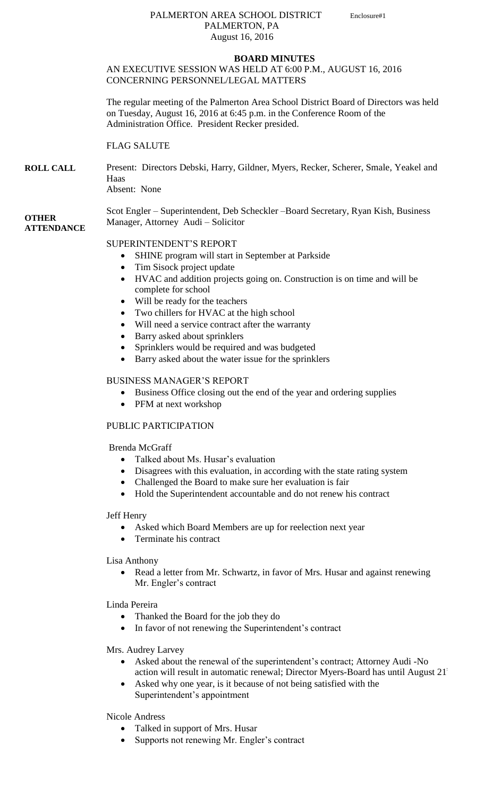#### PALMERTON AREA SCHOOL DISTRICT Enclosure#1 PALMERTON, PA August 16, 2016

#### **BOARD MINUTES** AN EXECUTIVE SESSION WAS HELD AT 6:00 P.M., AUGUST 16, 2016 CONCERNING PERSONNEL/LEGAL MATTERS

The regular meeting of the Palmerton Area School District Board of Directors was held on Tuesday, August 16, 2016 at 6:45 p.m. in the Conference Room of the Administration Office. President Recker presided.

### FLAG SALUTE

#### **ROLL CALL** Present: Directors Debski, Harry, Gildner, Myers, Recker, Scherer, Smale, Yeakel and Haas Absent: None

#### **OTHER ATTENDANCE** Scot Engler – Superintendent, Deb Scheckler –Board Secretary, Ryan Kish, Business Manager, Attorney Audi – Solicitor

# SUPERINTENDENT'S REPORT

- SHINE program will start in September at Parkside
- Tim Sisock project update
- HVAC and addition projects going on. Construction is on time and will be complete for school
- Will be ready for the teachers
- Two chillers for HVAC at the high school
- Will need a service contract after the warranty
- Barry asked about sprinklers
- Sprinklers would be required and was budgeted
- Barry asked about the water issue for the sprinklers

# BUSINESS MANAGER'S REPORT

- Business Office closing out the end of the year and ordering supplies
- PFM at next workshop

# PUBLIC PARTICIPATION

# Brenda McGraff

- Talked about Ms. Husar's evaluation
- Disagrees with this evaluation, in according with the state rating system
- Challenged the Board to make sure her evaluation is fair
- Hold the Superintendent accountable and do not renew his contract

# Jeff Henry

- Asked which Board Members are up for reelection next year
- Terminate his contract

Lisa Anthony

 Read a letter from Mr. Schwartz, in favor of Mrs. Husar and against renewing Mr. Engler's contract

Linda Pereira

- Thanked the Board for the job they do
- In favor of not renewing the Superintendent's contract

Mrs. Audrey Larvey

- Asked about the renewal of the superintendent's contract; Attorney Audi -No action will result in automatic renewal; Director Myers-Board has until August 21
- Asked why one year, is it because of not being satisfied with the Superintendent's appointment

Nicole Andress

- Talked in support of Mrs. Husar
- Supports not renewing Mr. Engler's contract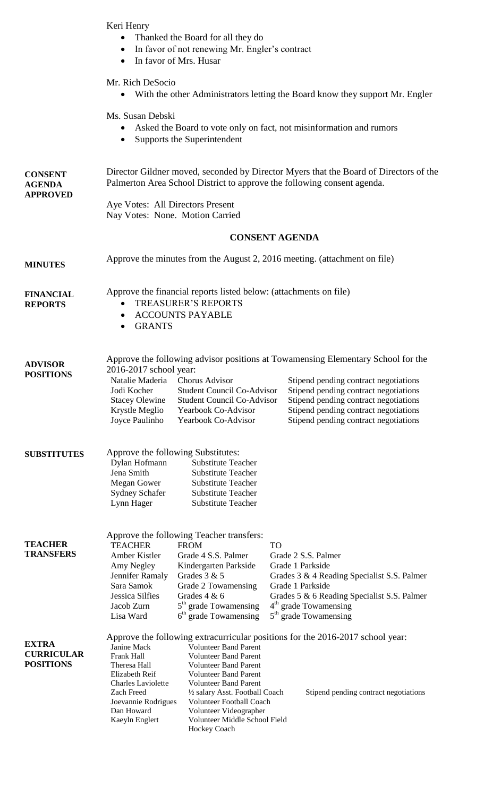Keri Henry

- Thanked the Board for all they do
- In favor of not renewing Mr. Engler's contract
- In favor of Mrs. Husar

Mr. Rich DeSocio

With the other Administrators letting the Board know they support Mr. Engler

Ms. Susan Debski

- Asked the Board to vote only on fact, not misinformation and rumors
- Supports the Superintendent

| <b>CONSENT</b><br><b>AGENDA</b><br><b>APPROVED</b>    | Director Gildner moved, seconded by Director Myers that the Board of Directors of the<br>Palmerton Area School District to approve the following consent agenda. |                                                                                                                                                                                                                                                                                                               |           |                                                                                                                                                                                                                                                                                               |  |
|-------------------------------------------------------|------------------------------------------------------------------------------------------------------------------------------------------------------------------|---------------------------------------------------------------------------------------------------------------------------------------------------------------------------------------------------------------------------------------------------------------------------------------------------------------|-----------|-----------------------------------------------------------------------------------------------------------------------------------------------------------------------------------------------------------------------------------------------------------------------------------------------|--|
|                                                       | Aye Votes: All Directors Present<br>Nay Votes: None. Motion Carried<br><b>CONSENT AGENDA</b>                                                                     |                                                                                                                                                                                                                                                                                                               |           |                                                                                                                                                                                                                                                                                               |  |
|                                                       |                                                                                                                                                                  |                                                                                                                                                                                                                                                                                                               |           |                                                                                                                                                                                                                                                                                               |  |
| <b>MINUTES</b>                                        | Approve the minutes from the August 2, 2016 meeting. (attachment on file)                                                                                        |                                                                                                                                                                                                                                                                                                               |           |                                                                                                                                                                                                                                                                                               |  |
| <b>FINANCIAL</b><br><b>REPORTS</b>                    | Approve the financial reports listed below: (attachments on file)<br><b>TREASURER'S REPORTS</b><br>$\bullet$<br><b>ACCOUNTS PAYABLE</b><br><b>GRANTS</b>         |                                                                                                                                                                                                                                                                                                               |           |                                                                                                                                                                                                                                                                                               |  |
| <b>ADVISOR</b><br><b>POSITIONS</b>                    | 2016-2017 school year:<br>Natalie Maderia Chorus Advisor<br>Jodi Kocher<br><b>Stacey Olewine</b><br>Krystle Meglio<br>Joyce Paulinho                             | <b>Student Council Co-Advisor</b><br><b>Student Council Co-Advisor</b><br>Yearbook Co-Advisor<br>Yearbook Co-Advisor                                                                                                                                                                                          |           | Approve the following advisor positions at Towamensing Elementary School for the<br>Stipend pending contract negotiations<br>Stipend pending contract negotiations<br>Stipend pending contract negotiations<br>Stipend pending contract negotiations<br>Stipend pending contract negotiations |  |
| <b>SUBSTITUTES</b>                                    | Approve the following Substitutes:<br>Dylan Hofmann<br>Jena Smith<br>Megan Gower<br><b>Sydney Schafer</b><br>Lynn Hager                                          | <b>Substitute Teacher</b><br><b>Substitute Teacher</b><br><b>Substitute Teacher</b><br><b>Substitute Teacher</b><br><b>Substitute Teacher</b>                                                                                                                                                                 |           |                                                                                                                                                                                                                                                                                               |  |
| <b>TEACHER</b><br><b>TRANSFERS</b>                    | <b>TEACHER</b><br>Amber Kistler<br>Amy Negley<br>Jennifer Ramaly<br>Sara Samok<br>Jessica Silfies<br>Jacob Zurn<br>Lisa Ward                                     | Approve the following Teacher transfers:<br><b>FROM</b><br>Grade 4 S.S. Palmer<br>Kindergarten Parkside<br>Grades 3 & 5<br>Grade 2 Towamensing<br>Grades $4 & 6$<br>5 <sup>th</sup> grade Towamensing<br>$6th$ grade Towamensing                                                                              | <b>TO</b> | Grade 2 S.S. Palmer<br>Grade 1 Parkside<br>Grades 3 & 4 Reading Specialist S.S. Palmer<br>Grade 1 Parkside<br>Grades 5 & 6 Reading Specialist S.S. Palmer<br>4 <sup>th</sup> grade Towamensing<br>5 <sup>th</sup> grade Towamensing                                                           |  |
| <b>EXTRA</b><br><b>CURRICULAR</b><br><b>POSITIONS</b> | Janine Mack<br>Frank Hall<br>Theresa Hall<br>Elizabeth Reif<br><b>Charles Laviolette</b><br>Zach Freed<br>Joevannie Rodrigues<br>Dan Howard<br>Kaeyln Englert    | <b>Volunteer Band Parent</b><br><b>Volunteer Band Parent</b><br><b>Volunteer Band Parent</b><br><b>Volunteer Band Parent</b><br><b>Volunteer Band Parent</b><br>1/2 salary Asst. Football Coach<br><b>Volunteer Football Coach</b><br>Volunteer Videographer<br>Volunteer Middle School Field<br>Hockey Coach |           | Approve the following extracurricular positions for the 2016-2017 school year:<br>Stipend pending contract negotiations                                                                                                                                                                       |  |